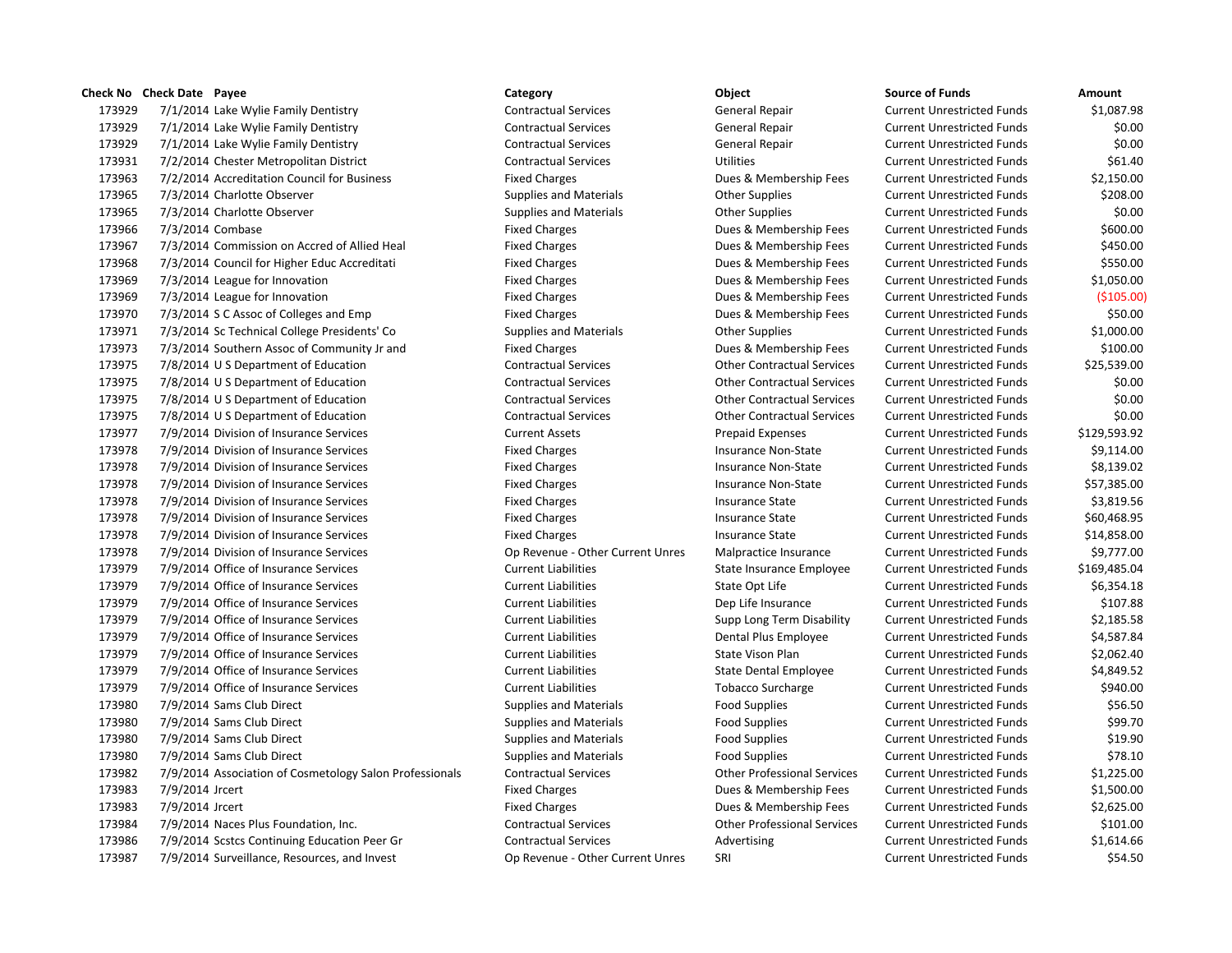## **Check No Check Date Payee Category Object Source of Funds Amount** 7/1/2014 Lake Wylie Family Dentistry Contractual Services General Repair Current Unrestricted Funds \$1,087.98 7/1/2014 Lake Wylie Family Dentistry Contractual Services General Repair Current Unrestricted Funds \$0.00 7/1/2014 Lake Wylie Family Dentistry Contractual Services General Repair Current Unrestricted Funds \$0.00 7/2/2014 Chester Metropolitan District Contractual Services Utilities Current Unrestricted Funds \$61.40 7/2/2014 Accreditation Council for Business Fixed Charges Dues & Membership Fees Current Unrestricted Funds \$2,150.00 173965 7/3/2014 Charlotte Observer Supplies and Materials Current Unrestricted Funds 5208.00 173965 7/3/2014 Charlotte Observer The Supplies and Materials Current Unrestricted Funds \$0.00 7/3/2014 Combase Fixed Charges Dues & Membership Fees Current Unrestricted Funds \$600.00 7/3/2014 Commission on Accred of Allied Heal Fixed Charges Dues & Membership Fees Current Unrestricted Funds \$450.00 7/3/2014 Council for Higher Educ Accreditati Fixed Charges Dues & Membership Fees Current Unrestricted Funds \$550.00 7/3/2014 League for Innovation Fixed Charges Dues & Membership Fees Current Unrestricted Funds \$1,050.00 7/3/2014 League for Innovation Fixed Charges Dues & Membership Fees Current Unrestricted Funds (\$105.00) 7/3/2014 S C Assoc of Colleges and Emp Fixed Charges Dues & Membership Fees Current Unrestricted Funds \$50.00 7/3/2014 Sc Technical College Presidents' Co Supplies and Materials Other Supplies Current Unrestricted Funds \$1,000.00 7/3/2014 Southern Assoc of Community Jr and Fixed Charges Dues & Membership Fees Current Unrestricted Funds \$100.00 7/8/2014 U S Department of Education Contractual Services Other Contractual Services Current Unrestricted Funds \$25,539.00 7/8/2014 U S Department of Education Contractual Services Other Contractual Services Current Unrestricted Funds \$0.00 7/8/2014 U S Department of Education Contractual Services Other Contractual Services Current Unrestricted Funds \$0.00 7/8/2014 U S Department of Education Contractual Services Other Contractual Services Current Unrestricted Funds \$0.00 7/9/2014 Division of Insurance Services Current Assets Prepaid Expenses Current Unrestricted Funds \$129,593.92 173978 7/9/2014 Division of Insurance Services Fixed Charges Fixed Charges Insurance Non-State Current Unrestricted Funds \$9,114.00 7/9/2014 Division of Insurance Services Fixed Charges Insurance Non-State Current Unrestricted Funds \$8,139.02 7/9/2014 Division of Insurance Services Fixed Charges Insurance Non-State Current Unrestricted Funds \$57,385.00 173978 7/9/2014 Division of Insurance Services Fixed Charges Fixed Charges Insurance State Current Unrestricted Funds \$3,819.56 7/9/2014 Division of Insurance Services Fixed Charges Insurance State Current Unrestricted Funds \$60,468.95 7/9/2014 Division of Insurance Services Fixed Charges Insurance State Current Unrestricted Funds \$14,858.00 7/9/2014 Division of Insurance Services Op Revenue - Other Current Unres Malpractice Insurance Current Unrestricted Funds \$9,777.00 7/9/2014 Office of Insurance Services Current Liabilities State Insurance Employee Current Unrestricted Funds \$169,485.04 173979 7/9/2014 Office of Insurance Services Current Liabilities Current Liabilities State Opt Life Current Unrestricted Funds \$6,354.18 7/9/2014 Office of Insurance Services Current Liabilities Dep Life Insurance Current Unrestricted Funds \$107.88 7/9/2014 Office of Insurance Services Current Liabilities Supp Long Term Disability Current Unrestricted Funds \$2,185.58 7/9/2014 Office of Insurance Services Current Liabilities Dental Plus Employee Current Unrestricted Funds \$4,587.84 7/9/2014 Office of Insurance Services Current Liabilities State Vison Plan Current Unrestricted Funds \$2,062.40 173979 7/9/2014 Office of Insurance Services Current Liabilities Current Liabilities State Dental Employee Current Unrestricted Funds \$4,849.52 7/9/2014 Office of Insurance Services Current Liabilities Tobacco Surcharge Current Unrestricted Funds \$940.00 7/9/2014 Sams Club Direct Supplies and Materials Food Supplies Current Unrestricted Funds \$56.50 7/9/2014 Sams Club Direct Supplies and Materials Food Supplies Current Unrestricted Funds \$99.70 7/9/2014 Sams Club Direct Supplies and Materials Food Supplies Current Unrestricted Funds \$19.90 7/9/2014 Sams Club Direct Supplies and Materials Food Supplies Current Unrestricted Funds \$78.10 7/9/2014 Association of Cosmetology Salon Professionals Contractual Services Other Professional Services Current Unrestricted Funds \$1,225.00 7/9/2014 Jrcert Fixed Charges Dues & Membership Fees Current Unrestricted Funds \$1,500.00 173983 7/9/2014 Jrcert Samples Membership Fees Current Unrestricted Funds \$2,625.00 7/9/2014 Naces Plus Foundation, Inc. Contractual Services Other Professional Services Current Unrestricted Funds \$101.00 7/9/2014 Scstcs Continuing Education Peer Gr Contractual Services Advertising Current Unrestricted Funds \$1,614.66

7/9/2014 Surveillance, Resources, and Invest Op Revenue - Other Current Unres SRI Current Unrestricted Funds \$54.50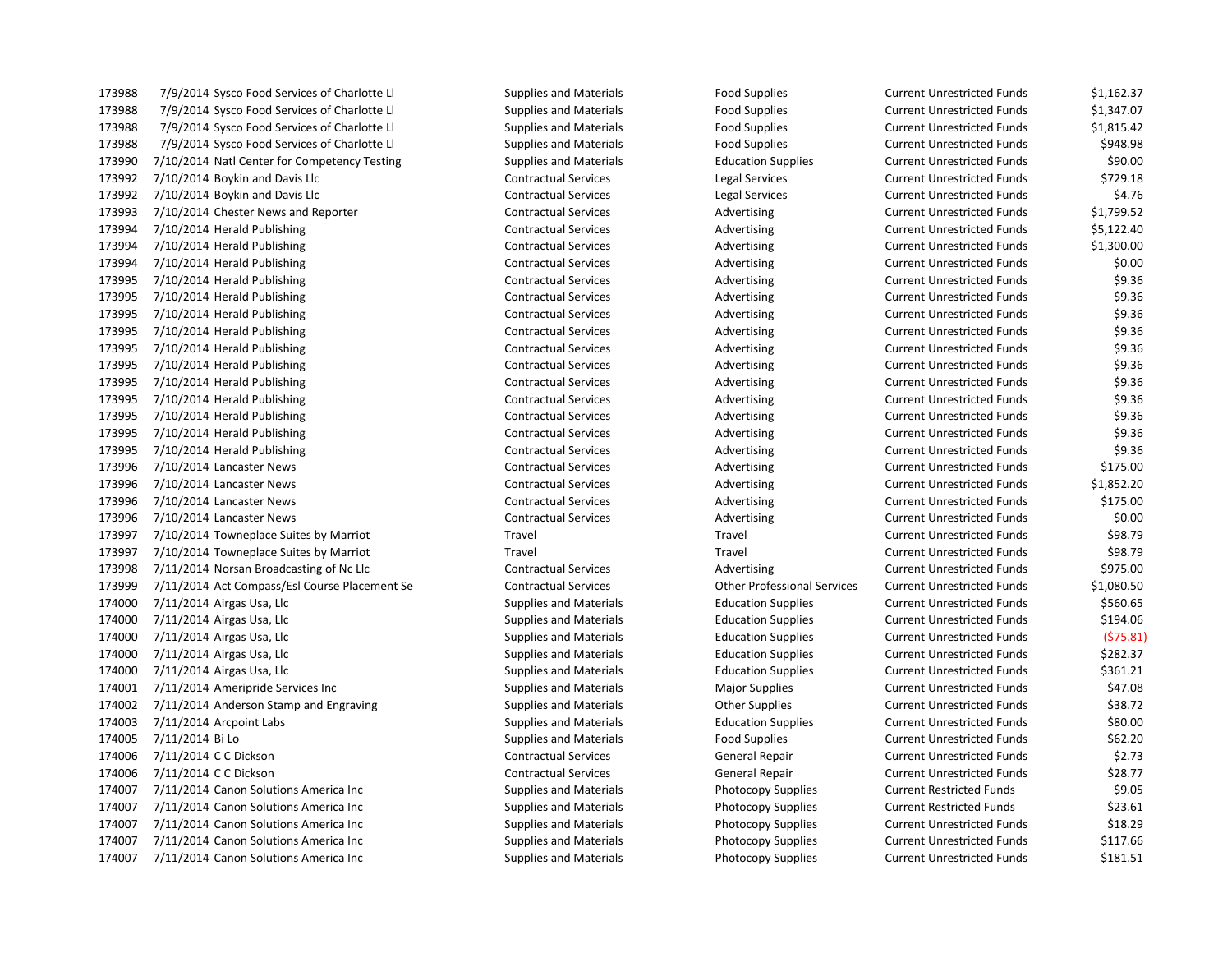173988 7/9/2014 Sysco Food Services of Charlotte Ll Supplies and Materials Food Supplies Current Unrestricted Funds \$1,162.37 173988 7/9/2014 Sysco Food Services of Charlotte Ll Supplies and Materials Food Supplies Current Unrestricted Funds \$1,347.07 173988 7/9/2014 Sysco Food Services of Charlotte Ll Supplies and Materials Food Supplies Current Unrestricted Funds \$1,815.42 173988 7/9/2014 Sysco Food Services of Charlotte Ll Supplies and Materials Food Supplies Current Unrestricted Funds \$948.98 173990 7/10/2014 Natl Center for Competency Testing Supplies and Materials Education Supplies Current Unrestricted Funds \$90.00 173992 7/10/2014 Boykin and Davis Llc Contractual Services Legal Services Current Unrestricted Funds \$729.18 173992 7/10/2014 Boykin and Davis Llc Contractual Services Legal Services Current Unrestricted Funds \$4.76 173993 7/10/2014 Chester News and Reporter Contractual Services Advertising Current Unrestricted Funds \$1,799.52 173994 7/10/2014 Herald Publishing Contractual Services Advertising Current Unrestricted Funds \$5,122.40 173994 7/10/2014 Herald Publishing Contractual Services Advertising Current Unrestricted Funds \$1,300.00 173994 7/10/2014 Herald Publishing Contractual Services Advertising Current Unrestricted Funds \$0.00 173995 7/10/2014 Herald Publishing external contractual Services and Advertising Current Unrestricted Funds \$9.36 173995 7/10/2014 Herald Publishing external contractual Services and Advertising Current Unrestricted Funds \$9.36 173995 7/10/2014 Herald Publishing external contractual Services and Advertising Current Unrestricted Funds \$9.36 173995 7/10/2014 Herald Publishing external contractual Services and Advertising Current Unrestricted Funds \$9.36 173995 7/10/2014 Herald Publishing external contractual Services and Advertising Current Unrestricted Funds \$9.36 173995 7/10/2014 Herald Publishing The Contractual Services Contractual Services Advertising Current Unrestricted Funds \$9.36 173995 7/10/2014 Herald Publishing external contractual Services and Advertising Current Unrestricted Funds \$9.36 173995 7/10/2014 Herald Publishing The Contractual Services Contractual Services Advertising Current Unrestricted Funds \$9.36 173995 7/10/2014 Herald Publishing external contractual Services and Advertising Current Unrestricted Funds \$9.36 173995 7/10/2014 Herald Publishing external contractual Services and Advertising Current Unrestricted Funds \$9.36 173995 7/10/2014 Herald Publishing external contractual Services and Advertising Current Unrestricted Funds \$9.36 173996 7/10/2014 Lancaster News **CONTRACTION CONTRACTION CONTRACTION CONTRACTION** Current Unrestricted Funds \$175.00 173996 7/10/2014 Lancaster News Contractual Services Advertising Current Unrestricted Funds \$1,852.20 173996 7/10/2014 Lancaster News **CONTRACTION CONTRACTION CONTRACTION CONTRACTION** Current Unrestricted Funds \$175.00 173996 7/10/2014 Lancaster News Contractual Services Contractual Services Advertising Current Unrestricted Funds \$0.00 173997 7/10/2014 Towneplace Suites by Marriot Travel Travel Travel Travel Travel Current Unrestricted Funds \$98.79 173997 7/10/2014 Towneplace Suites by Marriot Travel Travel Travel Travel Travel Current Unrestricted Funds \$98.79 173998 7/11/2014 Norsan Broadcasting of Nc Llc Contractual Services Advertising Current Unrestricted Funds \$975.00 173999 7/11/2014 Act Compass/Esl Course Placement Se Contractual Services Other Professional Services Current Unrestricted Funds \$1,080.50 174000 7/11/2014 Airgas Usa, Llc Supplies and Materials Education Supplies Current Unrestricted Funds \$560.65 174000 7/11/2014 Airgas Usa, Llc Supplies and Materials Education Supplies Current Unrestricted Funds \$194.06 174000 7/11/2014 Airgas Usa, Llc Supplies and Materials Education Supplies Current Unrestricted Funds (\$75.81) 174000 7/11/2014 Airgas Usa, Llc Supplies and Materials Education Supplies Current Unrestricted Funds \$282.37 174000 7/11/2014 Airgas Usa, Llc Supplies and Materials Education Supplies Current Unrestricted Funds \$361.21 174001 7/11/2014 Ameripride Services Inc Supplies and Materials Major Supplies Magnet Current Unrestricted Funds \$47.08 174002 7/11/2014 Anderson Stamp and Engraving Supplies and Materials Other Supplies Current Unrestricted Funds \$38.72 174003 7/11/2014 Arcpoint Labs Supplies and Materials Education Supplies Current Unrestricted Funds \$80.00 174005 7/11/2014 Bi Lo Supplies and Materials Food Supplies Current Unrestricted Funds \$62.20 174006 7/11/2014 C C Dickson Contractual Services General Repair Current Unrestricted Funds \$2.73 174006 7/11/2014 C C Dickson Contractual Services General Repair Current Unrestricted Funds \$28.77 174007 7/11/2014 Canon Solutions America Inc Supplies and Materials Photocopy Supplies Current Restricted Funds \$9.05 174007 7/11/2014 Canon Solutions America Inc Supplies and Materials Photocopy Supplies Current Restricted Funds \$23.61 174007 7/11/2014 Canon Solutions America Inc Supplies and Materials Photocopy Supplies Current Unrestricted Funds \$18.29 174007 7/11/2014 Canon Solutions America Inc Supplies and Materials Photocopy Supplies Current Unrestricted Funds \$117.66

174007 7/11/2014 Canon Solutions America Inc Supplies and Materials Photocopy Supplies Current Unrestricted Funds \$181.51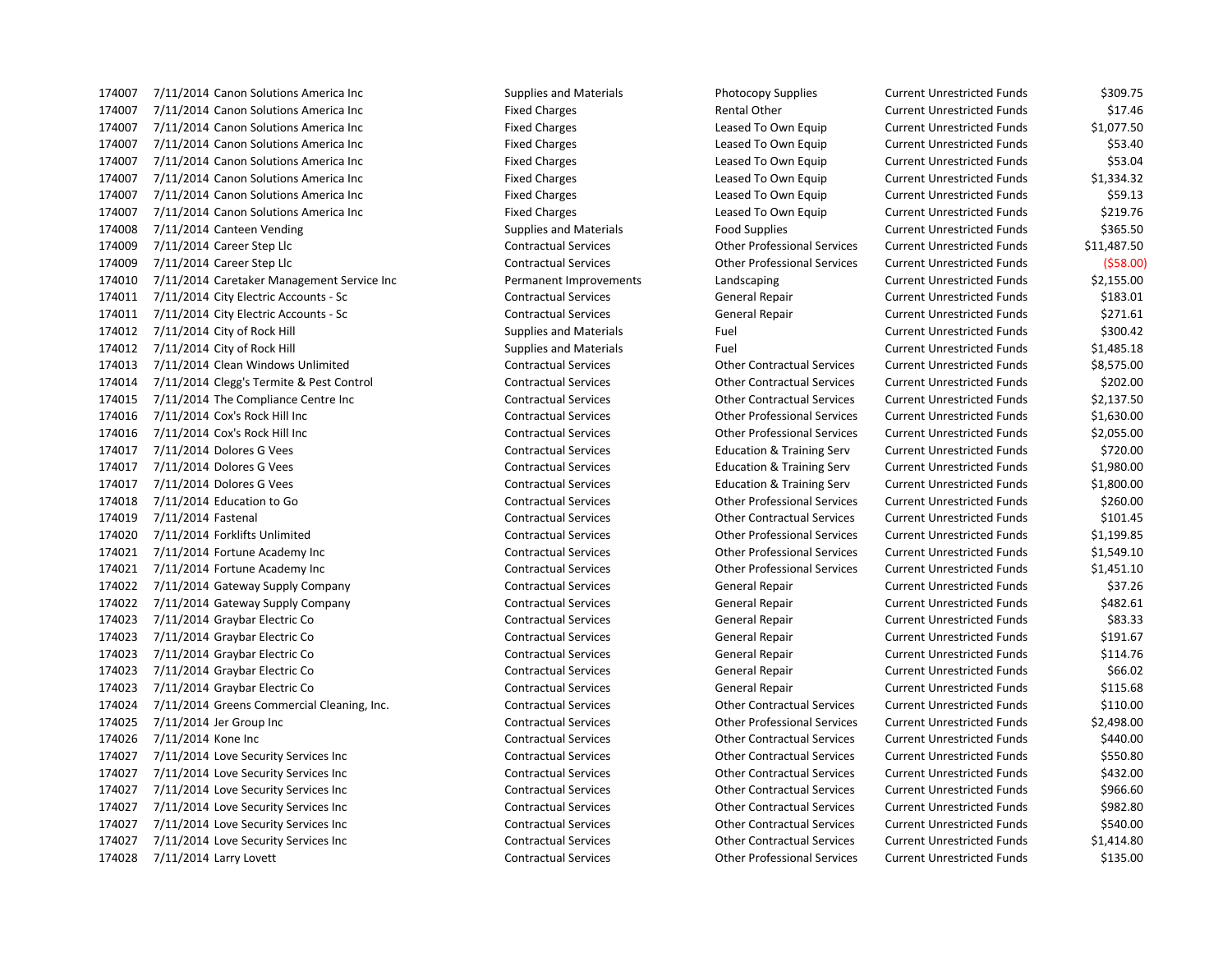174007 7/11/2014 Canon Solutions America Inc Supplies and Materials Photocopy Supplies Current Unrestricted Funds \$309.75 174007 7/11/2014 Canon Solutions America Inc **Fixed Charges** Fixed Charges Rental Other Current Unrestricted Funds \$17.46 7/11/2014 Canon Solutions America Inc Fixed Charges Leased To Own Equip Current Unrestricted Funds \$1,077.50 174007 7/11/2014 Canon Solutions America Inc **Fixed Charges** Fixed Charges Leased To Own Equip Current Unrestricted Funds \$53.40 174007 7/11/2014 Canon Solutions America Inc Fixed Charges Fixed Charges Leased To Own Equip Current Unrestricted Funds \$53.04 174007 7/11/2014 Canon Solutions America Inc **Fixed Charges** Fixed Charges Leased To Own Equip Current Unrestricted Funds \$1,334.32 174007 7/11/2014 Canon Solutions America Inc Fixed Charges Fixed Charges Leased To Own Equip Current Unrestricted Funds \$59.13 174007 7/11/2014 Canon Solutions America Inc Fixed Charges Fixed Charges Leased To Own Equip Current Unrestricted Funds \$219.76 174008 7/11/2014 Canteen Vending The Supplies and Materials Food Supplies Food Supplies Current Unrestricted Funds \$365.50 7/11/2014 Career Step Llc Contractual Services Other Professional Services Current Unrestricted Funds \$11,487.50 7/11/2014 Career Step Llc Contractual Services Other Professional Services Current Unrestricted Funds (\$58.00) 7/11/2014 Caretaker Management Service Inc Permanent Improvements Landscaping Current Unrestricted Funds \$2,155.00 7/11/2014 City Electric Accounts - Sc Contractual Services General Repair Current Unrestricted Funds \$183.01 7/11/2014 City Electric Accounts - Sc Contractual Services General Repair Current Unrestricted Funds \$271.61 174012 7/11/2014 City of Rock Hill Supplies and Materials Fuel Fuel Current Unrestricted Funds 5300.42 7/11/2014 City of Rock Hill Supplies and Materials Fuel Current Unrestricted Funds \$1,485.18 7/11/2014 Clean Windows Unlimited Contractual Services Other Contractual Services Current Unrestricted Funds \$8,575.00 7/11/2014 Clegg's Termite & Pest Control Contractual Services Other Contractual Services Current Unrestricted Funds \$202.00 7/11/2014 The Compliance Centre Inc Contractual Services Other Contractual Services Current Unrestricted Funds \$2,137.50 7/11/2014 Cox's Rock Hill Inc Contractual Services Other Professional Services Current Unrestricted Funds \$1,630.00 7/11/2014 Cox's Rock Hill Inc Contractual Services Other Professional Services Current Unrestricted Funds \$2,055.00 7/11/2014 Dolores G Vees Contractual Services Education & Training Serv Current Unrestricted Funds \$720.00 7/11/2014 Dolores G Vees Contractual Services Education & Training Serv Current Unrestricted Funds \$1,980.00 7/11/2014 Dolores G Vees Contractual Services Education & Training Serv Current Unrestricted Funds \$1,800.00 7/11/2014 Education to Go Contractual Services Other Professional Services Current Unrestricted Funds \$260.00 7/11/2014 Fastenal Contractual Services Other Contractual Services Current Unrestricted Funds \$101.45 7/11/2014 Forklifts Unlimited Contractual Services Other Professional Services Current Unrestricted Funds \$1,199.85 7/11/2014 Fortune Academy Inc Contractual Services Other Professional Services Current Unrestricted Funds \$1,549.10 7/11/2014 Fortune Academy Inc Contractual Services Other Professional Services Current Unrestricted Funds \$1,451.10 7/11/2014 Gateway Supply Company Contractual Services General Repair Current Unrestricted Funds \$37.26 7/11/2014 Gateway Supply Company Contractual Services General Repair Current Unrestricted Funds \$482.61 7/11/2014 Graybar Electric Co Contractual Services General Repair Current Unrestricted Funds \$83.33 7/11/2014 Graybar Electric Co Contractual Services General Repair Current Unrestricted Funds \$191.67 7/11/2014 Graybar Electric Co Contractual Services General Repair Current Unrestricted Funds \$114.76 7/11/2014 Graybar Electric Co Contractual Services General Repair Current Unrestricted Funds \$66.02 7/11/2014 Graybar Electric Co Contractual Services General Repair Current Unrestricted Funds \$115.68 7/11/2014 Greens Commercial Cleaning, Inc. Contractual Services Other Contractual Services Current Unrestricted Funds \$110.00 7/11/2014 Jer Group Inc Contractual Services Other Professional Services Current Unrestricted Funds \$2,498.00 7/11/2014 Kone Inc Contractual Services Other Contractual Services Current Unrestricted Funds \$440.00 7/11/2014 Love Security Services Inc Contractual Services Other Contractual Services Current Unrestricted Funds \$550.80 7/11/2014 Love Security Services Inc Contractual Services Other Contractual Services Current Unrestricted Funds \$432.00 7/11/2014 Love Security Services Inc Contractual Services Other Contractual Services Current Unrestricted Funds \$966.60 7/11/2014 Love Security Services Inc Contractual Services Other Contractual Services Current Unrestricted Funds \$982.80 7/11/2014 Love Security Services Inc Contractual Services Other Contractual Services Current Unrestricted Funds \$540.00 7/11/2014 Love Security Services Inc Contractual Services Other Contractual Services Current Unrestricted Funds \$1,414.80 7/11/2014 Larry Lovett Contractual Services Other Professional Services Current Unrestricted Funds \$135.00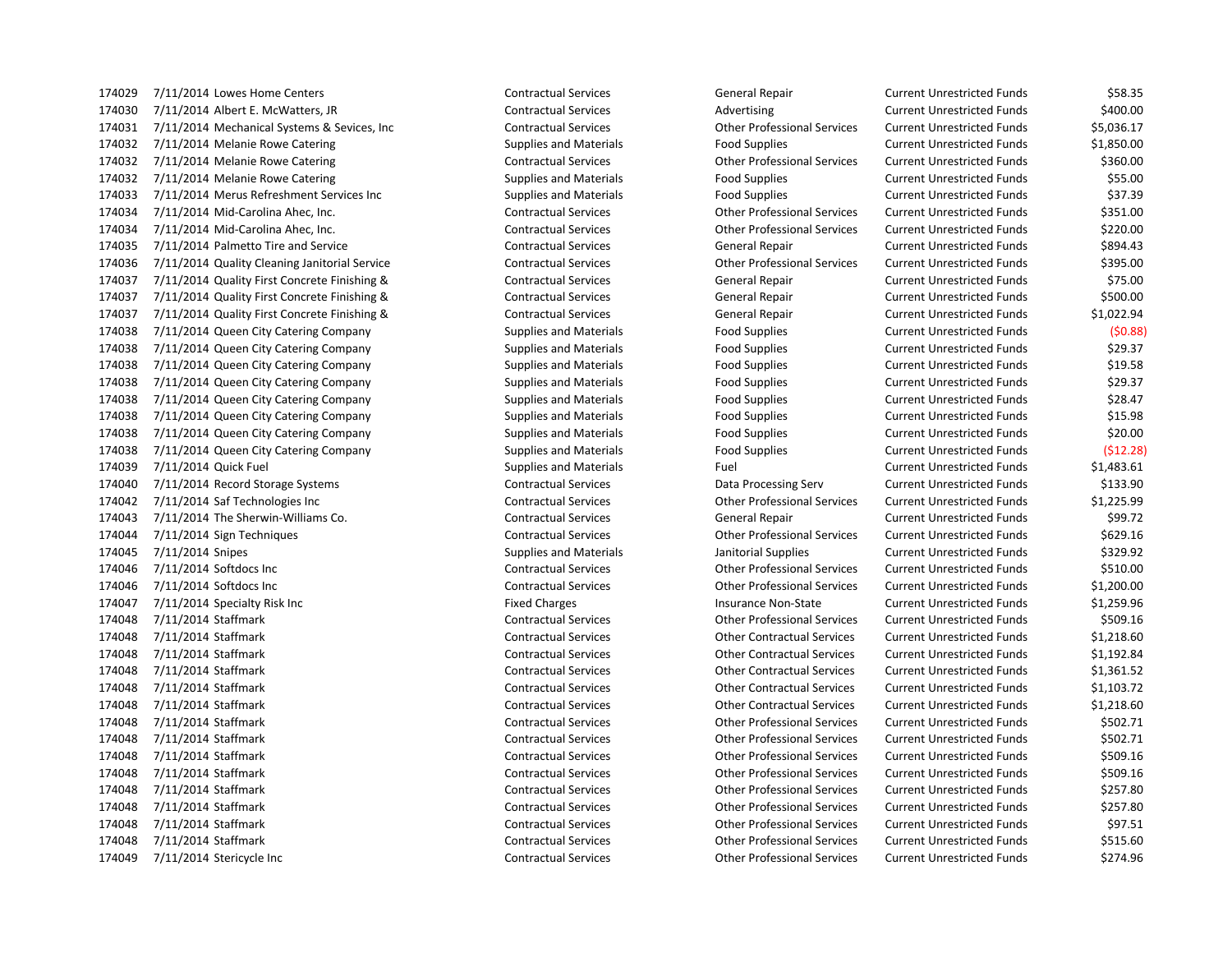7/11/2014 Lowes Home Centers Contractual Services General Repair Current Unrestricted Funds \$58.35 174030 7/11/2014 Albert E. McWatters, JR Contractual Services Contractual Services Advertising Current Unrestricted Funds \$400.00 7/11/2014 Mechanical Systems & Sevices, Inc Contractual Services Other Professional Services Current Unrestricted Funds \$5,036.17 174032 7/11/2014 Melanie Rowe Catering The Supplies and Materials Food Supplies Current Unrestricted Funds \$1,850.00 7/11/2014 Melanie Rowe Catering Contractual Services Other Professional Services Current Unrestricted Funds \$360.00 174032 7/11/2014 Melanie Rowe Catering The Supplies and Materials Food Supplies Current Unrestricted Funds \$55.00 7/11/2014 Merus Refreshment Services Inc Supplies and Materials Food Supplies Current Unrestricted Funds \$37.39 7/11/2014 Mid-Carolina Ahec, Inc. Contractual Services Other Professional Services Current Unrestricted Funds \$351.00 7/11/2014 Mid-Carolina Ahec, Inc. Contractual Services Other Professional Services Current Unrestricted Funds \$220.00 7/11/2014 Palmetto Tire and Service Contractual Services General Repair Current Unrestricted Funds \$894.43 7/11/2014 Quality Cleaning Janitorial Service Contractual Services Other Professional Services Current Unrestricted Funds \$395.00 7/11/2014 Quality First Concrete Finishing & Contractual Services General Repair Current Unrestricted Funds \$75.00 7/11/2014 Quality First Concrete Finishing & Contractual Services General Repair Current Unrestricted Funds \$500.00 7/11/2014 Quality First Concrete Finishing & Contractual Services General Repair Current Unrestricted Funds \$1,022.94 7/11/2014 Queen City Catering Company Supplies and Materials Food Supplies Current Unrestricted Funds (\$0.88) 174038 7/11/2014 Queen City Catering Company Supplies and Materials Food Supplies Current Unrestricted Funds \$29.37 7/11/2014 Queen City Catering Company Supplies and Materials Food Supplies Current Unrestricted Funds \$19.58 174038 7/11/2014 Queen City Catering Company Supplies and Materials Food Supplies Current Unrestricted Funds \$29.37 7/11/2014 Queen City Catering Company Supplies and Materials Food Supplies Current Unrestricted Funds \$28.47 7/11/2014 Queen City Catering Company Supplies and Materials Food Supplies Current Unrestricted Funds \$15.98 7/11/2014 Queen City Catering Company Supplies and Materials Food Supplies Current Unrestricted Funds \$20.00 7/11/2014 Queen City Catering Company Supplies and Materials Food Supplies Current Unrestricted Funds (\$12.28) 7/11/2014 Quick Fuel Supplies and Materials Fuel Current Unrestricted Funds \$1,483.61 7/11/2014 Record Storage Systems Contractual Services Data Processing Serv Current Unrestricted Funds \$133.90 7/11/2014 Saf Technologies Inc Contractual Services Other Professional Services Current Unrestricted Funds \$1,225.99 7/11/2014 The Sherwin-Williams Co. Contractual Services General Repair Current Unrestricted Funds \$99.72 7/11/2014 Sign Techniques Contractual Services Other Professional Services Current Unrestricted Funds \$629.16 7/11/2014 Snipes Supplies and Materials Janitorial Supplies Current Unrestricted Funds \$329.92 7/11/2014 Softdocs Inc Contractual Services Other Professional Services Current Unrestricted Funds \$510.00 7/11/2014 Softdocs Inc Contractual Services Other Professional Services Current Unrestricted Funds \$1,200.00 174047 7/11/2014 Specialty Risk Inc **Fixed Charges** Fixed Charges **Insurance Non-State** Current Unrestricted Funds \$1,259.96 7/11/2014 Staffmark Contractual Services Other Professional Services Current Unrestricted Funds \$509.16 7/11/2014 Staffmark Contractual Services Other Contractual Services Current Unrestricted Funds \$1,218.60 7/11/2014 Staffmark Contractual Services Other Contractual Services Current Unrestricted Funds \$1,192.84 7/11/2014 Staffmark Contractual Services Other Contractual Services Current Unrestricted Funds \$1,361.52 7/11/2014 Staffmark Contractual Services Other Contractual Services Current Unrestricted Funds \$1,103.72 7/11/2014 Staffmark Contractual Services Other Contractual Services Current Unrestricted Funds \$1,218.60 7/11/2014 Staffmark Contractual Services Other Professional Services Current Unrestricted Funds \$502.71 7/11/2014 Staffmark Contractual Services Other Professional Services Current Unrestricted Funds \$502.71 7/11/2014 Staffmark Contractual Services Other Professional Services Current Unrestricted Funds \$509.16 7/11/2014 Staffmark Contractual Services Other Professional Services Current Unrestricted Funds \$509.16 7/11/2014 Staffmark Contractual Services Other Professional Services Current Unrestricted Funds \$257.80 7/11/2014 Staffmark Contractual Services Other Professional Services Current Unrestricted Funds \$257.80 7/11/2014 Staffmark Contractual Services Other Professional Services Current Unrestricted Funds \$97.51 7/11/2014 Staffmark Contractual Services Other Professional Services Current Unrestricted Funds \$515.60 7/11/2014 Stericycle Inc Contractual Services Other Professional Services Current Unrestricted Funds \$274.96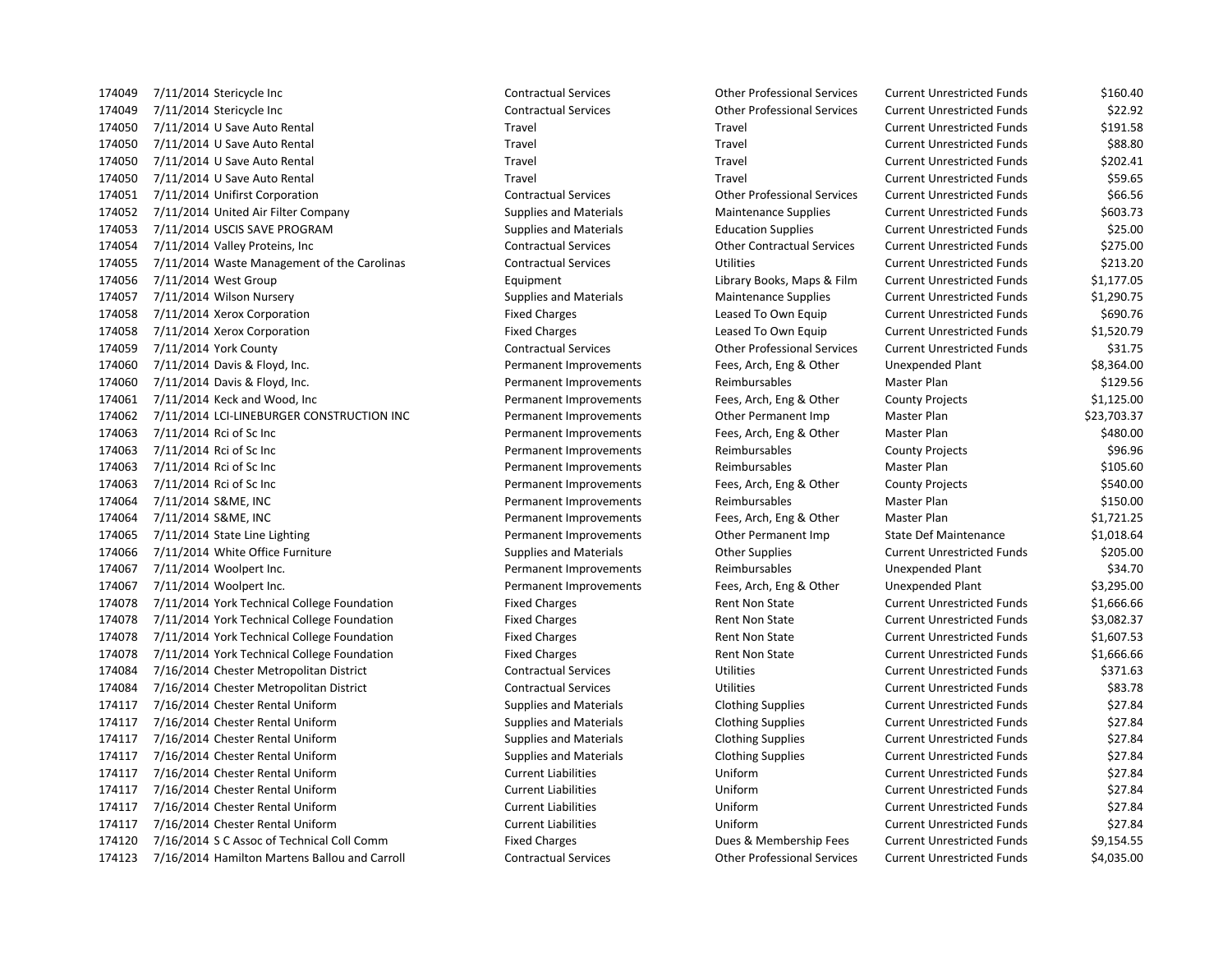7/11/2014 Stericycle Inc Contractual Services Other Professional Services Current Unrestricted Funds \$160.40 7/11/2014 Stericycle Inc Contractual Services Other Professional Services Current Unrestricted Funds \$22.92 7/11/2014 U Save Auto Rental Travel Travel Current Unrestricted Funds \$191.58 7/11/2014 U Save Auto Rental Travel Travel Current Unrestricted Funds \$88.80 7/11/2014 U Save Auto Rental Travel Travel Current Unrestricted Funds \$202.41 7/11/2014 U Save Auto Rental Travel Travel Current Unrestricted Funds \$59.65 7/11/2014 Unifirst Corporation Contractual Services Other Professional Services Current Unrestricted Funds \$66.56 7/11/2014 United Air Filter Company Supplies and Materials Maintenance Supplies Current Unrestricted Funds \$603.73 7/11/2014 USCIS SAVE PROGRAM Supplies and Materials Education Supplies Current Unrestricted Funds \$25.00 7/11/2014 Valley Proteins, Inc Contractual Services Other Contractual Services Current Unrestricted Funds \$275.00 7/11/2014 Waste Management of the Carolinas Contractual Services Utilities Current Unrestricted Funds \$213.20 7/11/2014 West Group Equipment Library Books, Maps & Film Current Unrestricted Funds \$1,177.05 7/11/2014 Wilson Nursery Supplies and Materials Maintenance Supplies Current Unrestricted Funds \$1,290.75 7/11/2014 Xerox Corporation Fixed Charges Leased To Own Equip Current Unrestricted Funds \$690.76 7/11/2014 Xerox Corporation Fixed Charges Leased To Own Equip Current Unrestricted Funds \$1,520.79 7/11/2014 York County Contractual Services Other Professional Services Current Unrestricted Funds \$31.75 7/11/2014 Davis & Floyd, Inc. Permanent Improvements Fees, Arch, Eng & Other Unexpended Plant \$8,364.00 174060 7/11/2014 Davis & Floyd, Inc. The Community Permanent Improvements Reimbursables Master Plan \$129.56 7/11/2014 Keck and Wood, Inc Permanent Improvements Fees, Arch, Eng & Other County Projects \$1,125.00 7/11/2014 LCI-LINEBURGER CONSTRUCTION INC Permanent Improvements Other Permanent Imp Master Plan \$23,703.37 7/11/2014 Rci of Sc Inc Permanent Improvements Fees, Arch, Eng & Other Master Plan \$480.00 7/11/2014 Rci of Sc Inc Permanent Improvements Reimbursables County Projects \$96.96 174063 7/11/2014 Rci of Sc Inc Case Contract Communication Permanent Improvements Reimbursables Master Plan \$105.60 7/11/2014 Rci of Sc Inc Permanent Improvements Fees, Arch, Eng & Other County Projects \$540.00 174064 7/11/2014 S&ME, INC **Samuel Server Accord Permanent Improvements** Reimbursables Master Plan \$150.00 7/11/2014 S&ME, INC Permanent Improvements Fees, Arch, Eng & Other Master Plan \$1,721.25 7/11/2014 State Line Lighting Permanent Improvements Other Permanent Imp State Def Maintenance \$1,018.64 174066 7/11/2014 White Office Furniture Supplies and Materials Current Unrestricted Funds \$205.00 7/11/2014 Woolpert Inc. Permanent Improvements Reimbursables Unexpended Plant \$34.70 7/11/2014 Woolpert Inc. Permanent Improvements Fees, Arch, Eng & Other Unexpended Plant \$3,295.00 174078 7/11/2014 York Technical College Foundation Fixed Charges Fixed Charges Rent Non State Current Unrestricted Funds \$1,666.66 174078 7/11/2014 York Technical College Foundation Fixed Charges Rent Non State Current Unrestricted Funds \$3,082.37 7/11/2014 York Technical College Foundation Fixed Charges Rent Non State Current Unrestricted Funds \$1,607.53 174078 7/11/2014 York Technical College Foundation Fixed Charges Foundation Fixed Charges Rent Non State Current Unrestricted Funds \$1,666.66 7/16/2014 Chester Metropolitan District Contractual Services Utilities Current Unrestricted Funds \$371.63 7/16/2014 Chester Metropolitan District Contractual Services Utilities Current Unrestricted Funds \$83.78 7/16/2014 Chester Rental Uniform Supplies and Materials Clothing Supplies Current Unrestricted Funds \$27.84 7/16/2014 Chester Rental Uniform Supplies and Materials Clothing Supplies Current Unrestricted Funds \$27.84 7/16/2014 Chester Rental Uniform Supplies and Materials Clothing Supplies Current Unrestricted Funds \$27.84 7/16/2014 Chester Rental Uniform Supplies and Materials Clothing Supplies Current Unrestricted Funds \$27.84 7/16/2014 Chester Rental Uniform Current Liabilities Uniform Current Unrestricted Funds \$27.84 7/16/2014 Chester Rental Uniform Current Liabilities Uniform Current Unrestricted Funds \$27.84 7/16/2014 Chester Rental Uniform Current Liabilities Uniform Current Unrestricted Funds \$27.84 7/16/2014 Chester Rental Uniform Current Liabilities Uniform Current Unrestricted Funds \$27.84 7/16/2014 S C Assoc of Technical Coll Comm Fixed Charges Dues & Membership Fees Current Unrestricted Funds \$9,154.55 7/16/2014 Hamilton Martens Ballou and Carroll Contractual Services Other Professional Services Current Unrestricted Funds \$4,035.00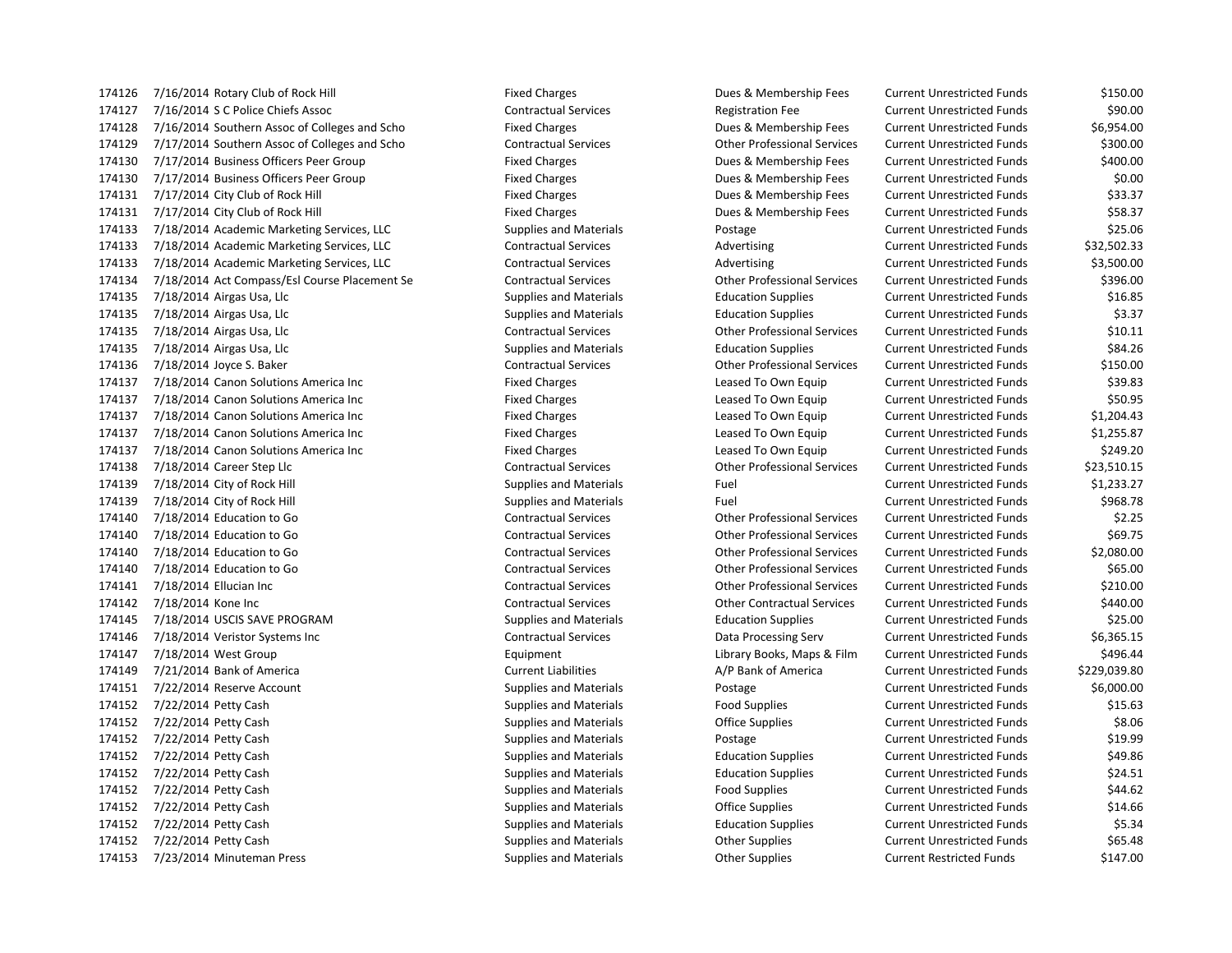7/16/2014 Rotary Club of Rock Hill Fixed Charges Dues & Membership Fees Current Unrestricted Funds \$150.00 7/16/2014 S C Police Chiefs Assoc Contractual Services Registration Fee Current Unrestricted Funds \$90.00 7/16/2014 Southern Assoc of Colleges and Scho Fixed Charges Dues & Membership Fees Current Unrestricted Funds \$6,954.00 7/17/2014 Southern Assoc of Colleges and Scho Contractual Services Other Professional Services Current Unrestricted Funds \$300.00 7/17/2014 Business Officers Peer Group Fixed Charges Dues & Membership Fees Current Unrestricted Funds \$400.00 7/17/2014 Business Officers Peer Group Fixed Charges Dues & Membership Fees Current Unrestricted Funds \$0.00 7/17/2014 City Club of Rock Hill Fixed Charges Dues & Membership Fees Current Unrestricted Funds \$33.37 174131 7/17/2014 City Club of Rock Hill **Fixed Charges** Fixed Charges **Dues & Membership Fees** Current Unrestricted Funds \$58.37 7/18/2014 Academic Marketing Services, LLC Supplies and Materials Postage Current Unrestricted Funds \$25.06 174133 7/18/2014 Academic Marketing Services, LLC Contractual Services Advertising Current Unrestricted Funds \$32,502.33 174133 7/18/2014 Academic Marketing Services, LLC Contractual Services Advertising Current Unrestricted Funds \$3,500.00 7/18/2014 Act Compass/Esl Course Placement Se Contractual Services Other Professional Services Current Unrestricted Funds \$396.00 174135 7/18/2014 Airgas Usa, Llc Supplies and Materials Education Supplies Current Unrestricted Funds \$16.85 174135 7/18/2014 Airgas Usa, Llc Supplies and Materials Education Supplies Current Unrestricted Funds \$3.37 7/18/2014 Airgas Usa, Llc Contractual Services Other Professional Services Current Unrestricted Funds \$10.11 7/18/2014 Airgas Usa, Llc Supplies and Materials Education Supplies Current Unrestricted Funds \$84.26 7/18/2014 Joyce S. Baker Contractual Services Other Professional Services Current Unrestricted Funds \$150.00 7/18/2014 Canon Solutions America Inc Fixed Charges Leased To Own Equip Current Unrestricted Funds \$39.83 174137 7/18/2014 Canon Solutions America Inc **Fixed Charges** Fixed Charges Leased To Own Equip Current Unrestricted Funds \$50.95 7/18/2014 Canon Solutions America Inc Fixed Charges Leased To Own Equip Current Unrestricted Funds \$1,204.43 174137 7/18/2014 Canon Solutions America Inc **Fixed Charges** Fixed Charges Leased To Own Equip Current Unrestricted Funds \$1,255.87 174137 7/18/2014 Canon Solutions America Inc **Fixed Charges** Fixed Charges Leased To Own Equip Current Unrestricted Funds \$249.20 7/18/2014 Career Step Llc Contractual Services Other Professional Services Current Unrestricted Funds \$23,510.15 174139 7/18/2014 City of Rock Hill Supplies and Materials Fuel Fuel Current Unrestricted Funds \$1,233.27 174139 7/18/2014 City of Rock Hill Supplies and Materials Fuel Fuel Current Unrestricted Funds \$968.78 7/18/2014 Education to Go Contractual Services Other Professional Services Current Unrestricted Funds \$2.25 7/18/2014 Education to Go Contractual Services Other Professional Services Current Unrestricted Funds \$69.75 7/18/2014 Education to Go Contractual Services Other Professional Services Current Unrestricted Funds \$2,080.00 7/18/2014 Education to Go Contractual Services Other Professional Services Current Unrestricted Funds \$65.00 7/18/2014 Ellucian Inc Contractual Services Other Professional Services Current Unrestricted Funds \$210.00 7/18/2014 Kone Inc Contractual Services Other Contractual Services Current Unrestricted Funds \$440.00 7/18/2014 USCIS SAVE PROGRAM Supplies and Materials Education Supplies Current Unrestricted Funds \$25.00 7/18/2014 Veristor Systems Inc Contractual Services Data Processing Serv Current Unrestricted Funds \$6,365.15 7/18/2014 West Group Equipment Library Books, Maps & Film Current Unrestricted Funds \$496.44 174149 7/21/2014 Bank of America **Current Liabilities** Current Liabilities A/P Bank of America Current Unrestricted Funds \$229,039.80 7/22/2014 Reserve Account Supplies and Materials Postage Current Unrestricted Funds \$6,000.00 7/22/2014 Petty Cash Supplies and Materials Food Supplies Current Unrestricted Funds \$15.63 7/22/2014 Petty Cash Supplies and Materials Office Supplies Current Unrestricted Funds \$8.06 7/22/2014 Petty Cash Supplies and Materials Postage Current Unrestricted Funds \$19.99 7/22/2014 Petty Cash Supplies and Materials Education Supplies Current Unrestricted Funds \$49.86 7/22/2014 Petty Cash Supplies and Materials Education Supplies Current Unrestricted Funds \$24.51 7/22/2014 Petty Cash Supplies and Materials Food Supplies Current Unrestricted Funds \$44.62 7/22/2014 Petty Cash Supplies and Materials Office Supplies Current Unrestricted Funds \$14.66 7/22/2014 Petty Cash Supplies and Materials Education Supplies Current Unrestricted Funds \$5.34 7/22/2014 Petty Cash Supplies and Materials Other Supplies Current Unrestricted Funds \$65.48 7/23/2014 Minuteman Press Supplies and Materials Other Supplies Current Restricted Funds \$147.00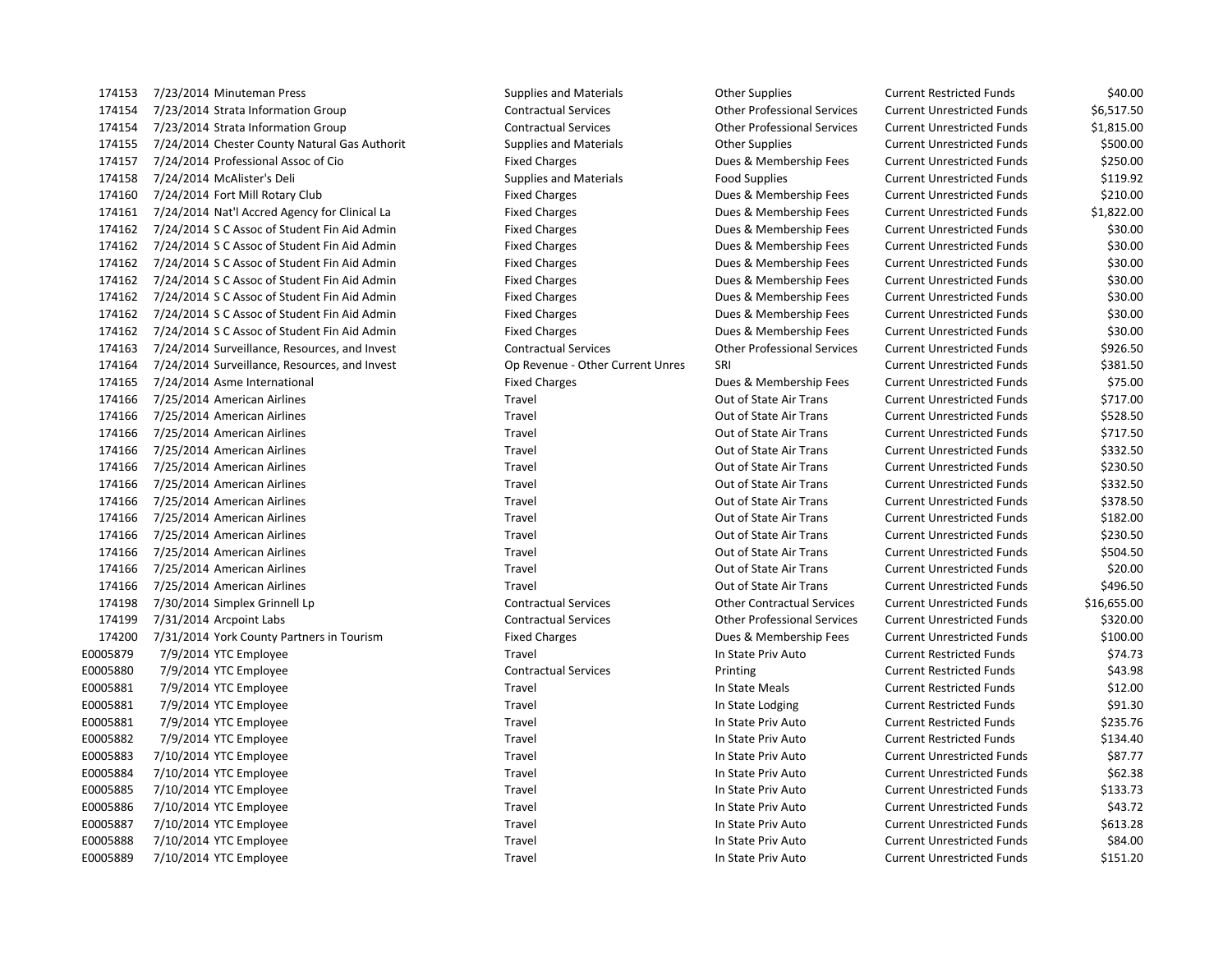7/23/2014 Strata Information Group Contractual Services Other Professional Services Current Unrestricted Funds \$6,517.50 7/23/2014 Strata Information Group Contractual Services Other Professional Services Current Unrestricted Funds \$1,815.00 7/24/2014 Chester County Natural Gas Authorit Supplies and Materials Other Supplies Current Unrestricted Funds \$500.00 7/24/2014 Professional Assoc of Cio Fixed Charges Dues & Membership Fees Current Unrestricted Funds \$250.00 7/24/2014 McAlister's Deli Supplies and Materials Food Supplies Current Unrestricted Funds \$119.92 7/24/2014 Fort Mill Rotary Club Fixed Charges Dues & Membership Fees Current Unrestricted Funds \$210.00 7/24/2014 Nat'l Accred Agency for Clinical La Fixed Charges Dues & Membership Fees Current Unrestricted Funds \$1,822.00 7/24/2014 S C Assoc of Student Fin Aid Admin Fixed Charges Dues & Membership Fees Current Unrestricted Funds \$30.00 174162 7/24/2014 SC Assoc of Student Fin Aid Admin Fixed Charges Fixed Charges Current Unrestricted Funds \$30.00 7/24/2014 S C Assoc of Student Fin Aid Admin Fixed Charges Dues & Membership Fees Current Unrestricted Funds \$30.00 7/24/2014 S C Assoc of Student Fin Aid Admin Fixed Charges Dues & Membership Fees Current Unrestricted Funds \$30.00 7/24/2014 S C Assoc of Student Fin Aid Admin Fixed Charges Dues & Membership Fees Current Unrestricted Funds \$30.00 7/24/2014 S C Assoc of Student Fin Aid Admin Fixed Charges Dues & Membership Fees Current Unrestricted Funds \$30.00 7/24/2014 S C Assoc of Student Fin Aid Admin Fixed Charges Dues & Membership Fees Current Unrestricted Funds \$30.00 7/24/2014 Surveillance, Resources, and Invest Contractual Services Other Professional Services Current Unrestricted Funds \$926.50 174164 7/24/2014 Surveillance, Resources, and Invest Current Cop Revenue - Other Current Unres SRI Current Unrestricted Funds \$381.50 7/24/2014 Asme International Fixed Charges Dues & Membership Fees Current Unrestricted Funds \$75.00 7/25/2014 American Airlines Travel Out of State Air Trans Current Unrestricted Funds \$717.00 7/25/2014 American Airlines Travel Out of State Air Trans Current Unrestricted Funds \$528.50 7/25/2014 American Airlines Travel Out of State Air Trans Current Unrestricted Funds \$717.50 7/25/2014 American Airlines Travel Out of State Air Trans Current Unrestricted Funds \$332.50 7/25/2014 American Airlines Travel Out of State Air Trans Current Unrestricted Funds \$230.50 7/25/2014 American Airlines Travel Out of State Air Trans Current Unrestricted Funds \$332.50 7/25/2014 American Airlines Travel Out of State Air Trans Current Unrestricted Funds \$378.50 7/25/2014 American Airlines Travel Out of State Air Trans Current Unrestricted Funds \$182.00 7/25/2014 American Airlines Travel Out of State Air Trans Current Unrestricted Funds \$230.50 7/25/2014 American Airlines Travel Out of State Air Trans Current Unrestricted Funds \$504.50 7/25/2014 American Airlines Travel Out of State Air Trans Current Unrestricted Funds \$20.00 7/25/2014 American Airlines Travel Out of State Air Trans Current Unrestricted Funds \$496.50 7/30/2014 Simplex Grinnell Lp Contractual Services Other Contractual Services Current Unrestricted Funds \$16,655.00 7/31/2014 Arcpoint Labs Contractual Services Other Professional Services Current Unrestricted Funds \$320.00 7/31/2014 York County Partners in Tourism Fixed Charges Dues & Membership Fees Current Unrestricted Funds \$100.00 E0005879 7/9/2014 YTC Employee STALES CONTENTS Travel Travel Travel In State Priv Auto Current Restricted Funds \$74.73 E0005880 7/9/2014 YTC Employee entitled the Contractual Services of Printing Current Restricted Funds \$43.98 E0005881 7/9/2014 YTC Employee State Meals Current Restricted Funds \$12.00 E0005881 7/9/2014 YTC Employee Subsection of Travel Travel Travel In State Lodging Current Restricted Funds \$91.30 E0005881 7/9/2014 YTC Employee Travel Travel Travel Travel In State Priv Auto Current Restricted Funds \$235.76 E0005882 7/9/2014 YTC Employee Travel Travel Travel Travel In State Priv Auto Current Restricted Funds \$134.40 E0005883 7/10/2014 YTC Employee Sales Travel Travel Travel Travel In State Priv Auto Current Unrestricted Funds \$87.77 E0005884 7/10/2014 YTC Employee S62.38 Travel Travel Travel In State Priv Auto Current Unrestricted Funds \$62.38 E0005885 7/10/2014 YTC Employee Travel Travel Travel Travel In State Priv Auto Current Unrestricted Funds \$133.73 E0005886 7/10/2014 YTC Employee SA3.72 E0005887 7/10/2014 YTC Employee Travel Travel Travel Travel In State Priv Auto Current Unrestricted Funds \$613.28 E0005888 7/10/2014 YTC Employee Saudio Current Unrestricted Funds Saudio Saudio Saudio Current Unrestricted Funds \$84.00 E0005889 7/10/2014 YTC Employee Travel Travel Travel Travel In State Priv Auto Current Unrestricted Funds \$151.20

7/23/2014 Minuteman Press Supplies and Materials Other Supplies Current Restricted Funds \$40.00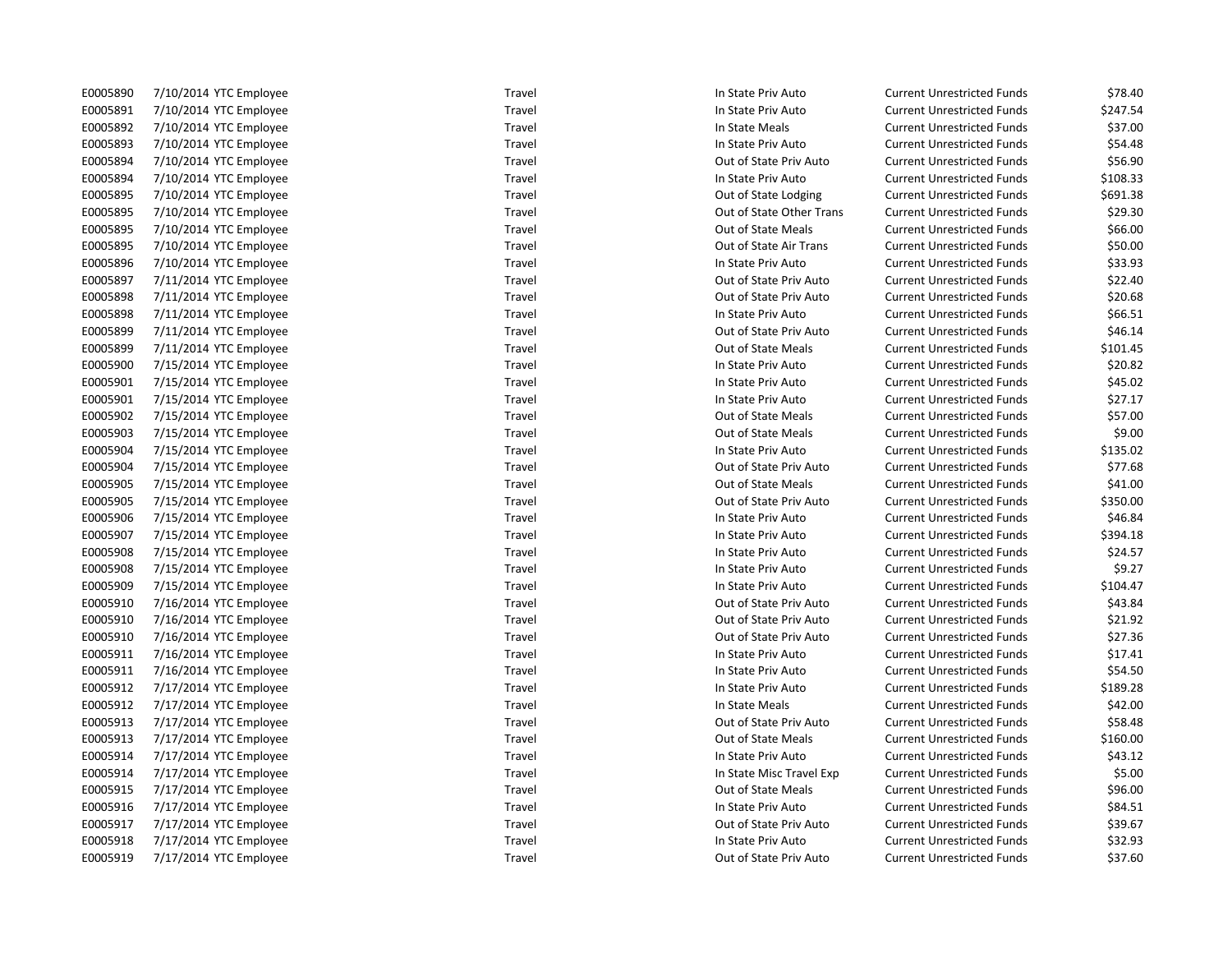E0005890 7/10/2014 YTC Employee ST8.40 Travel Travel Travel In State Priv Auto Current Unrestricted Funds \$78.40

E0005891 7/10/2014 YTC Employee Travel Travel Travel Travel In State Priv Auto Current Unrestricted Funds \$247.54 E0005892 7/10/2014 YTC Employee Same Travel Travel Travel Travel In State Meals Current Unrestricted Funds \$37.00 E0005893 7/10/2014 YTC Employee S54.48 Travel Travel Travel In State Priv Auto Current Unrestricted Funds \$54.48 E0005894 7/10/2014 YTC Employee Travel Travel Travel Travel Out of State Priv Auto Current Unrestricted Funds \$56.90 E0005894 7/10/2014 YTC Employee Travel Travel Travel Travel In State Priv Auto Current Unrestricted Funds \$108.33 E0005895 7/10/2014 YTC Employee Travel Travel Travel Cut of State Lodging Current Unrestricted Funds \$691.38 E0005895 7/10/2014 YTC Employee Travel Travel Travel Cut of State Other Trans Current Unrestricted Funds \$29.30 E0005895 7/10/2014 YTC Employee S66.00 Travel Travel Travel Current Dut of State Meals Current Unrestricted Funds \$66.00 E0005895 7/10/2014 YTC Employee Travel Travel Travel Cut of State Air Trans Current Unrestricted Funds \$50.00 E0005896 7/10/2014 YTC Employee Samployee Travel Travel Travel In State Priv Auto Current Unrestricted Funds \$33.93 E0005897 7/11/2014 YTC Employee Samployee Travel Travel Travel Cut of State Priv Auto Current Unrestricted Funds \$22.40 E0005898 7/11/2014 YTC Employee Travel Travel Travel Cut of State Priv Auto Current Unrestricted Funds \$20.68 E0005898 7/11/2014 YTC Employee Second Market Travel Travel Travel In State Priv Auto Current Unrestricted Funds \$66.51 E0005899 7/11/2014 YTC Employee Travel Travel Travel Cut of State Priv Auto Current Unrestricted Funds \$46.14 E0005899 7/11/2014 YTC Employee Travel Travel Travel Cut of State Meals Current Unrestricted Funds \$101.45 E0005900 7/15/2014 YTC Employee Travel Travel Travel Travel In State Priv Auto Current Unrestricted Funds \$20.82 E0005901 7/15/2014 YTC Employee SAS.02 Travel Travel Travel In State Priv Auto Current Unrestricted Funds \$45.02 E0005901 7/15/2014 YTC Employee **Travel Travel Travel Current Unrestricted Funds** \$27.17 E0005902 7/15/2014 YTC Employee Travel Travel Travel Travel Out of State Meals Current Unrestricted Funds \$57.00 E0005903 7/15/2014 YTC Employee Travel Travel Travel Cut of State Meals Current Unrestricted Funds \$9.00 E0005904 7/15/2014 YTC Employee Travel Travel Travel Travel In State Priv Auto Current Unrestricted Funds \$135.02 E0005904 7/15/2014 YTC Employee Travel Travel Travel Cut of State Priv Auto Current Unrestricted Funds \$77.68 E0005905 7/15/2014 YTC Employee Travel Travel Travel Cut of State Meals Current Unrestricted Funds \$41.00 E0005905 7/15/2014 YTC Employee Travel Travel Travel Cut of State Priv Auto Current Unrestricted Funds \$350.00 E0005906 7/15/2014 YTC Employee Same Travel Travel Travel Travel In State Priv Auto Current Unrestricted Funds \$46.84 E0005907 7/15/2014 YTC Employee Travel Travel Travel Travel In State Priv Auto Current Unrestricted Funds \$394.18 E0005908 7/15/2014 YTC Employee Same Travel Travel Travel Travel In State Priv Auto Current Unrestricted Funds \$24.57 E0005908 7/15/2014 YTC Employee Travel Travel Travel Travel In State Priv Auto Current Unrestricted Funds \$9.27 E0005909 7/15/2014 YTC Employee Travel Travel Travel Travel In State Priv Auto Current Unrestricted Funds \$104.47 E0005910 7/16/2014 YTC Employee Travel Out of State Priv Auto Current Unrestricted Funds \$43.84 E0005910 7/16/2014 YTC Employee Samployee Travel Travel Travel Cut of State Priv Auto Current Unrestricted Funds \$21.92 E0005910 7/16/2014 YTC Employee Samployee Travel Travel Travel Cut of State Priv Auto Current Unrestricted Funds \$27.36 E0005911 7/16/2014 YTC Employee State Travel Travel Travel Travel In State Priv Auto Current Unrestricted Funds \$17.41 E0005911 7/16/2014 YTC Employee **Travel Travel Travel Current Unrestricted Funds** \$54.50 E0005912 7/17/2014 YTC Employee Travel Travel Travel Travel In State Priv Auto Current Unrestricted Funds \$189.28 E0005912 7/17/2014 YTC Employee SA2.00 E0005913 7/17/2014 YTC Employee Travel Travel Travel Cut of State Priv Auto Current Unrestricted Funds \$58.48 E0005913 7/17/2014 YTC Employee Travel Out of State Meals Current Unrestricted Funds \$160.00 E0005914 7/17/2014 YTC Employee SA3.12 Travel Travel Travel In State Priv Auto Current Unrestricted Funds \$43.12 E0005914 7/17/2014 YTC Employee Travel Travel Travel Travel In State Misc Travel Exp Current Unrestricted Funds \$5.00 E0005915 7/17/2014 YTC Employee State Mean Travel Travel Travel Current Unrestricted Funds \$96.00 E0005916 7/17/2014 YTC Employee Saudio Current Unrestricted Funds Saudio Saudio Saudio Saudio Saudio Saudio Sau E0005917 7/17/2014 YTC Employee Travel Travel Travel Cut of State Priv Auto Current Unrestricted Funds \$39.67 E0005918 7/17/2014 YTC Employee S32.93 Travel Travel Travel In State Priv Auto Current Unrestricted Funds \$32.93 E0005919 7/17/2014 YTC Employee S37.60